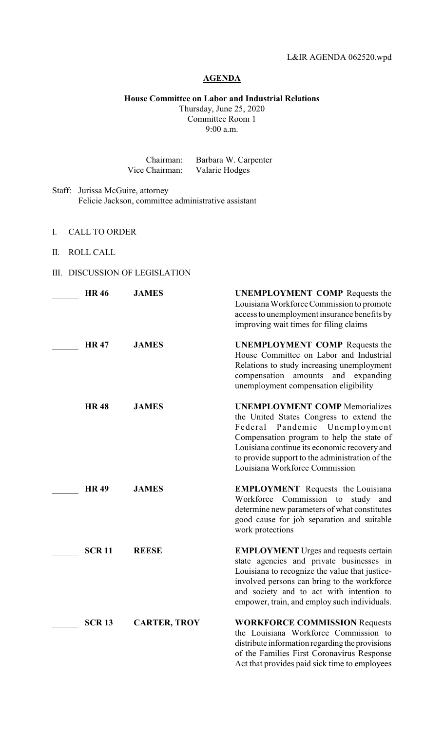## **AGENDA**

**House Committee on Labor and Industrial Relations**

Thursday, June 25, 2020 Committee Room 1 9:00 a.m.

| Chairman:      | Barbara W. Carpenter |
|----------------|----------------------|
| Vice Chairman: | Valarie Hodges       |

- Staff: Jurissa McGuire, attorney Felicie Jackson, committee administrative assistant
- I. CALL TO ORDER
- II. ROLL CALL
- III. DISCUSSION OF LEGISLATION

| <b>HR46</b> |              | <b>JAMES</b>        | <b>UNEMPLOYMENT COMP</b> Requests the<br>Louisiana Workforce Commission to promote<br>access to unemployment insurance benefits by<br>improving wait times for filing claims                                                                                                                            |
|-------------|--------------|---------------------|---------------------------------------------------------------------------------------------------------------------------------------------------------------------------------------------------------------------------------------------------------------------------------------------------------|
| <b>HR47</b> |              | <b>JAMES</b>        | <b>UNEMPLOYMENT COMP</b> Requests the<br>House Committee on Labor and Industrial<br>Relations to study increasing unemployment<br>compensation<br>amounts and expanding<br>unemployment compensation eligibility                                                                                        |
| <b>HR48</b> |              | <b>JAMES</b>        | <b>UNEMPLOYMENT COMP Memorializes</b><br>the United States Congress to extend the<br>Pandemic Unemployment<br>Federal<br>Compensation program to help the state of<br>Louisiana continue its economic recovery and<br>to provide support to the administration of the<br>Louisiana Workforce Commission |
| <b>HR49</b> |              | <b>JAMES</b>        | <b>EMPLOYMENT</b> Requests the Louisiana<br>Workforce Commission to study<br>and<br>determine new parameters of what constitutes<br>good cause for job separation and suitable<br>work protections                                                                                                      |
|             | <b>SCR11</b> | <b>REESE</b>        | <b>EMPLOYMENT</b> Urges and requests certain<br>state agencies and private businesses in<br>Louisiana to recognize the value that justice-<br>involved persons can bring to the workforce<br>and society and to act with intention to<br>empower, train, and employ such individuals.                   |
|             | <b>SCR13</b> | <b>CARTER, TROY</b> | <b>WORKFORCE COMMISSION Requests</b><br>the Louisiana Workforce Commission to<br>distribute information regarding the provisions<br>of the Families First Coronavirus Response<br>Act that provides paid sick time to employees                                                                         |